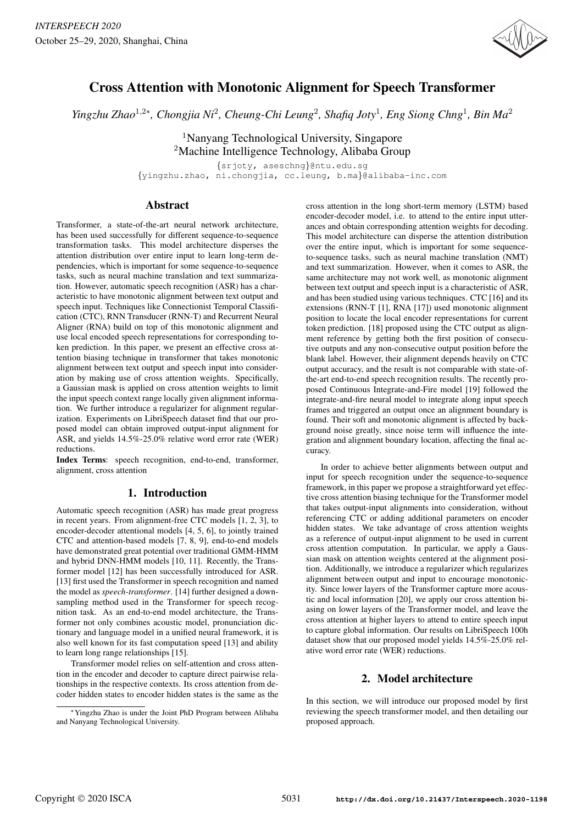

# Cross Attention with Monotonic Alignment for Speech Transformer

*Yingzhu Zhao<sup>1,2∗</sup>, Chongjia Ni<sup>2</sup>, Cheung-Chi Leung<sup>2</sup>, Shafiq Joty<sup>1</sup>, Eng Siong Chng<sup>1</sup>, Bin Ma<sup>2</sup>* 

<sup>1</sup>Nanyang Technological University, Singapore <sup>2</sup>Machine Intelligence Technology, Alibaba Group

{srjoty, aseschng}@ntu.edu.sg {yingzhu.zhao, ni.chongjia, cc.leung, b.ma}@alibaba-inc.com

## Abstract

Transformer, a state-of-the-art neural network architecture, has been used successfully for different sequence-to-sequence transformation tasks. This model architecture disperses the attention distribution over entire input to learn long-term dependencies, which is important for some sequence-to-sequence tasks, such as neural machine translation and text summarization. However, automatic speech recognition (ASR) has a characteristic to have monotonic alignment between text output and speech input. Techniques like Connectionist Temporal Classification (CTC), RNN Transducer (RNN-T) and Recurrent Neural Aligner (RNA) build on top of this monotonic alignment and use local encoded speech representations for corresponding token prediction. In this paper, we present an effective cross attention biasing technique in transformer that takes monotonic alignment between text output and speech input into consideration by making use of cross attention weights. Specifically, a Gaussian mask is applied on cross attention weights to limit the input speech context range locally given alignment information. We further introduce a regularizer for alignment regularization. Experiments on LibriSpeech dataset find that our proposed model can obtain improved output-input alignment for ASR, and yields 14.5%-25.0% relative word error rate (WER) reductions.

Index Terms: speech recognition, end-to-end, transformer, alignment, cross attention

# 1. Introduction

Automatic speech recognition (ASR) has made great progress in recent years. From alignment-free CTC models [1, 2, 3], to encoder-decoder attentional models [4, 5, 6], to jointly trained CTC and attention-based models [7, 8, 9], end-to-end models have demonstrated great potential over traditional GMM-HMM and hybrid DNN-HMM models [10, 11]. Recently, the Transformer model [12] has been successfully introduced for ASR. [13] first used the Transformer in speech recognition and named the model as *speech-transformer*. [14] further designed a downsampling method used in the Transformer for speech recognition task. As an end-to-end model architecture, the Transformer not only combines acoustic model, pronunciation dictionary and language model in a unified neural framework, it is also well known for its fast computation speed [13] and ability to learn long range relationships [15].

Transformer model relies on self-attention and cross attention in the encoder and decoder to capture direct pairwise relationships in the respective contexts. Its cross attention from decoder hidden states to encoder hidden states is the same as the

cross attention in the long short-term memory (LSTM) based encoder-decoder model, i.e. to attend to the entire input utterances and obtain corresponding attention weights for decoding. This model architecture can disperse the attention distribution over the entire input, which is important for some sequenceto-sequence tasks, such as neural machine translation (NMT) and text summarization. However, when it comes to ASR, the same architecture may not work well, as monotonic alignment between text output and speech input is a characteristic of ASR, and has been studied using various techniques. CTC [16] and its extensions (RNN-T [1], RNA [17]) used monotonic alignment position to locate the local encoder representations for current token prediction. [18] proposed using the CTC output as alignment reference by getting both the first position of consecutive outputs and any non-consecutive output position before the blank label. However, their alignment depends heavily on CTC output accuracy, and the result is not comparable with state-ofthe-art end-to-end speech recognition results. The recently proposed Continuous Integrate-and-Fire model [19] followed the integrate-and-fire neural model to integrate along input speech frames and triggered an output once an alignment boundary is found. Their soft and monotonic alignment is affected by background noise greatly, since noise term will influence the integration and alignment boundary location, affecting the final accuracy.

In order to achieve better alignments between output and input for speech recognition under the sequence-to-sequence framework, in this paper we propose a straightforward yet effective cross attention biasing technique for the Transformer model that takes output-input alignments into consideration, without referencing CTC or adding additional parameters on encoder hidden states. We take advantage of cross attention weights as a reference of output-input alignment to be used in current cross attention computation. In particular, we apply a Gaussian mask on attention weights centered at the alignment position. Additionally, we introduce a regularizer which regularizes alignment between output and input to encourage monotonicity. Since lower layers of the Transformer capture more acoustic and local information [20], we apply our cross attention biasing on lower layers of the Transformer model, and leave the cross attention at higher layers to attend to entire speech input to capture global information. Our results on LibriSpeech 100h dataset show that our proposed model yields 14.5%-25.0% relative word error rate (WER) reductions.

# 2. Model architecture

In this section, we will introduce our proposed model by first reviewing the speech transformer model, and then detailing our proposed approach.

<sup>∗</sup>Yingzhu Zhao is under the Joint PhD Program between Alibaba and Nanyang Technological University.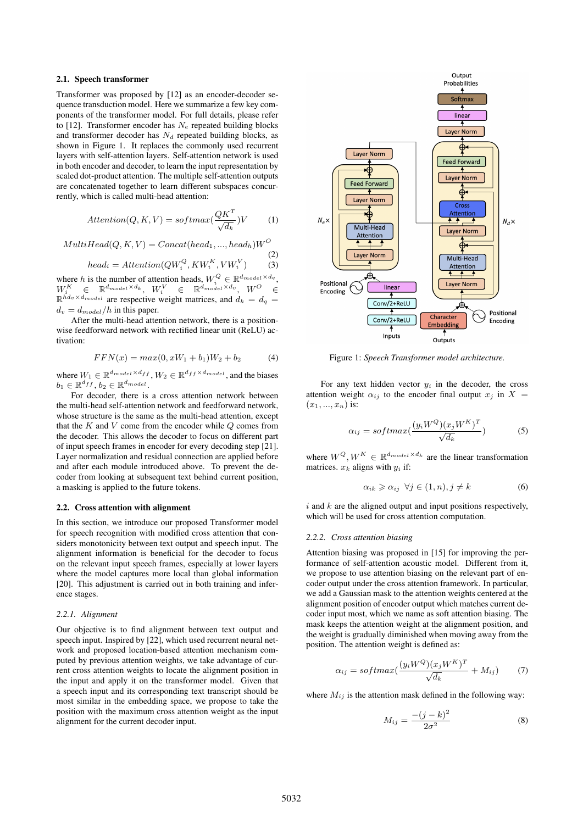### 2.1. Speech transformer

Transformer was proposed by [12] as an encoder-decoder sequence transduction model. Here we summarize a few key components of the transformer model. For full details, please refer to [12]. Transformer encoder has  $N_e$  repeated building blocks and transformer decoder has  $N_d$  repeated building blocks, as shown in Figure 1. It replaces the commonly used recurrent layers with self-attention layers. Self-attention network is used in both encoder and decoder, to learn the input representation by scaled dot-product attention. The multiple self-attention outputs are concatenated together to learn different subspaces concurrently, which is called multi-head attention:

$$
Attention(Q, K, V) = softmax(\frac{QK^{T}}{\sqrt{d_k}})V
$$
 (1)

$$
MultiHead(Q, K, V) = Concat(head_1, ..., head_h)W^O
$$
\n(2)

$$
head_i =Attention(QW_i^Q, KW_i^K, VW_i^V) \tag{3}
$$

where h is the number of attention heads,  $W_i^Q \in \mathbb{R}^{d_{model} \times d_q}$ ,  $W_i^K \in \mathbb{R}^{d_{model} \times d_k}$ ,  $W_i^V \in \mathbb{R}^{d_{model} \times d_v}$ ,  $W^O \in$  $\mathbb{R}^{\hat{h}d_v \times d_{model}}$  are respective weight matrices, and  $d_k = d_q =$  $d_v = d_{model}/h$  in this paper.

After the multi-head attention network, there is a positionwise feedforward network with rectified linear unit (ReLU) activation:

$$
FFN(x) = max(0, xW_1 + b_1)W_2 + b_2 \tag{4}
$$

where  $W_1 \in \mathbb{R}^{d_{model} \times d_{ff}}$ ,  $W_2 \in \mathbb{R}^{d_{ff} \times d_{model}}$ , and the biases  $b_1 \in \mathbb{R}^{d_{ff}}, b_2 \in \mathbb{R}^{d_{model}}$ .

For decoder, there is a cross attention network between the multi-head self-attention network and feedforward network, whose structure is the same as the multi-head attention, except that the  $K$  and  $V$  come from the encoder while  $Q$  comes from the decoder. This allows the decoder to focus on different part of input speech frames in encoder for every decoding step [21]. Layer normalization and residual connection are applied before and after each module introduced above. To prevent the decoder from looking at subsequent text behind current position, a masking is applied to the future tokens.

### 2.2. Cross attention with alignment

In this section, we introduce our proposed Transformer model for speech recognition with modified cross attention that considers monotonicity between text output and speech input. The alignment information is beneficial for the decoder to focus on the relevant input speech frames, especially at lower layers where the model captures more local than global information [20]. This adjustment is carried out in both training and inference stages.

#### *2.2.1. Alignment*

Our objective is to find alignment between text output and speech input. Inspired by [22], which used recurrent neural network and proposed location-based attention mechanism computed by previous attention weights, we take advantage of current cross attention weights to locate the alignment position in the input and apply it on the transformer model. Given that a speech input and its corresponding text transcript should be most similar in the embedding space, we propose to take the position with the maximum cross attention weight as the input alignment for the current decoder input.



Figure 1: *Speech Transformer model architecture.*

For any text hidden vector  $y_i$  in the decoder, the cross attention weight  $\alpha_{ij}$  to the encoder final output  $x_j$  in  $X =$  $(x_1, ..., x_n)$  is:

$$
\alpha_{ij} = softmax(\frac{(y_i W^Q)(x_j W^K)^T}{\sqrt{d_k}})
$$
 (5)

where  $W^{Q}, W^{K} \in \mathbb{R}^{d_{model} \times d_{k}}$  are the linear transformation matrices.  $x_k$  aligns with  $y_i$  if:

$$
\alpha_{ik} \geqslant \alpha_{ij} \ \forall j \in (1, n), j \neq k \tag{6}
$$

 $i$  and  $k$  are the aligned output and input positions respectively, which will be used for cross attention computation.

#### *2.2.2. Cross attention biasing*

Attention biasing was proposed in [15] for improving the performance of self-attention acoustic model. Different from it, we propose to use attention biasing on the relevant part of encoder output under the cross attention framework. In particular, we add a Gaussian mask to the attention weights centered at the alignment position of encoder output which matches current decoder input most, which we name as soft attention biasing. The mask keeps the attention weight at the alignment position, and the weight is gradually diminished when moving away from the position. The attention weight is defined as:

$$
\alpha_{ij} = softmax(\frac{(y_i W^Q)(x_j W^K)^T}{\sqrt{d_k}} + M_{ij})
$$
 (7)

where  $M_{ij}$  is the attention mask defined in the following way:

$$
M_{ij} = \frac{-(j-k)^2}{2\sigma^2} \tag{8}
$$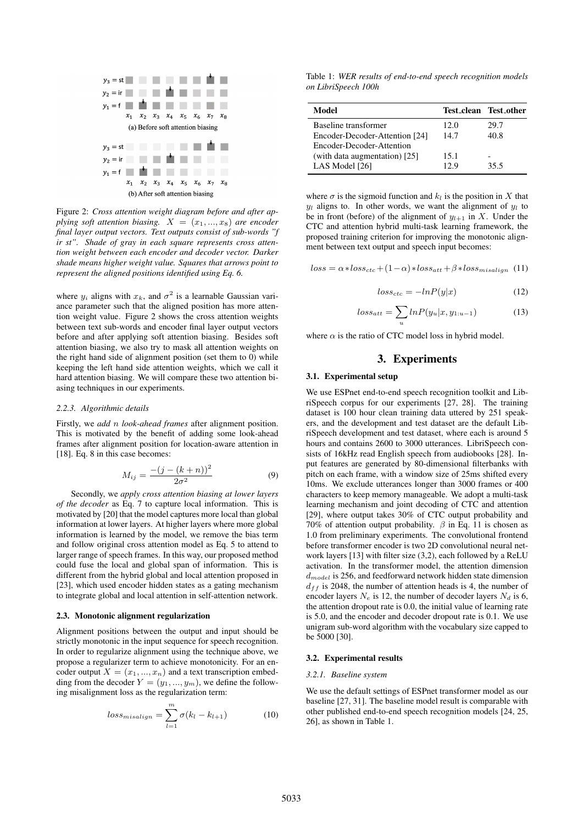

Figure 2: *Cross attention weight diagram before and after applying soft attention biasing.*  $X = (x_1, ..., x_8)$  *are encoder final layer output vectors. Text outputs consist of sub-words "f ir st". Shade of gray in each square represents cross attention weight between each encoder and decoder vector. Darker shade means higher weight value. Squares that arrows point to represent the aligned positions identified using Eq. 6.*

where  $y_i$  aligns with  $x_k$ , and  $\sigma^2$  is a learnable Gaussian variance parameter such that the aligned position has more attention weight value. Figure 2 shows the cross attention weights between text sub-words and encoder final layer output vectors before and after applying soft attention biasing. Besides soft attention biasing, we also try to mask all attention weights on the right hand side of alignment position (set them to 0) while keeping the left hand side attention weights, which we call it hard attention biasing. We will compare these two attention biasing techniques in our experiments.

#### *2.2.3. Algorithmic details*

Firstly, we *add* n *look-ahead frames* after alignment position. This is motivated by the benefit of adding some look-ahead frames after alignment position for location-aware attention in [18]. Eq. 8 in this case becomes:

$$
M_{ij} = \frac{-(j - (k+n))^2}{2\sigma^2}
$$
 (9)

Secondly, we *apply cross attention biasing at lower layers of the decoder* as Eq. 7 to capture local information. This is motivated by [20] that the model captures more local than global information at lower layers. At higher layers where more global information is learned by the model, we remove the bias term and follow original cross attention model as Eq. 5 to attend to larger range of speech frames. In this way, our proposed method could fuse the local and global span of information. This is different from the hybrid global and local attention proposed in [23], which used encoder hidden states as a gating mechanism to integrate global and local attention in self-attention network.

#### 2.3. Monotonic alignment regularization

Alignment positions between the output and input should be strictly monotonic in the input sequence for speech recognition. In order to regularize alignment using the technique above, we propose a regularizer term to achieve monotonicity. For an encoder output  $X = (x_1, ..., x_n)$  and a text transcription embedding from the decoder  $Y = (y_1, ..., y_m)$ , we define the following misalignment loss as the regularization term:

$$
loss_{misalign} = \sum_{l=1}^{m} \sigma(k_l - k_{l+1})
$$
 (10)

Table 1: *WER results of end-to-end speech recognition models on LibriSpeech 100h*

| Model                          |      | Test_clean Test_other |
|--------------------------------|------|-----------------------|
| Baseline transformer           | 12.0 | 29.7                  |
| Encoder-Decoder-Attention [24] | 14.7 | 40.8                  |
| Encoder-Decoder-Attention      |      |                       |
| (with data augmentation) [25]  | 15.1 |                       |
| LAS Model [26]                 | 12.9 | 35.5                  |

where  $\sigma$  is the sigmoid function and  $k_l$  is the position in X that  $y_l$  aligns to. In other words, we want the alignment of  $y_l$  to be in front (before) of the alignment of  $y_{l+1}$  in X. Under the CTC and attention hybrid multi-task learning framework, the proposed training criterion for improving the monotonic alignment between text output and speech input becomes:

$$
loss = \alpha * loss_{ctc} + (1 - \alpha) * loss_{att} + \beta * loss_{misalign} \quad (11)
$$

$$
loss_{ctc} = -lnP(y|x) \tag{12}
$$

$$
loss_{att} = \sum_{u} lnP(y_u|x, y_{1:u-1})
$$
\n(13)

where  $\alpha$  is the ratio of CTC model loss in hybrid model.

# 3. Experiments

#### 3.1. Experimental setup

We use ESPnet end-to-end speech recognition toolkit and LibriSpeech corpus for our experiments [27, 28]. The training dataset is 100 hour clean training data uttered by 251 speakers, and the development and test dataset are the default LibriSpeech development and test dataset, where each is around 5 hours and contains 2600 to 3000 utterances. LibriSpeech consists of 16kHz read English speech from audiobooks [28]. Input features are generated by 80-dimensional filterbanks with pitch on each frame, with a window size of 25ms shifted every 10ms. We exclude utterances longer than 3000 frames or 400 characters to keep memory manageable. We adopt a multi-task learning mechanism and joint decoding of CTC and attention [29], where output takes 30% of CTC output probability and 70% of attention output probability.  $\beta$  in Eq. 11 is chosen as 1.0 from preliminary experiments. The convolutional frontend before transformer encoder is two 2D convolutional neural network layers [13] with filter size (3,2), each followed by a ReLU activation. In the transformer model, the attention dimension  $d_{model}$  is 256, and feedforward network hidden state dimension  $d_{ff}$  is 2048, the number of attention heads is 4, the number of encoder layers  $N_e$  is 12, the number of decoder layers  $N_d$  is 6, the attention dropout rate is 0.0, the initial value of learning rate is 5.0, and the encoder and decoder dropout rate is 0.1. We use unigram sub-word algorithm with the vocabulary size capped to be 5000 [30].

#### 3.2. Experimental results

#### *3.2.1. Baseline system*

We use the default settings of ESPnet transformer model as our baseline [27, 31]. The baseline model result is comparable with other published end-to-end speech recognition models [24, 25, 26], as shown in Table 1.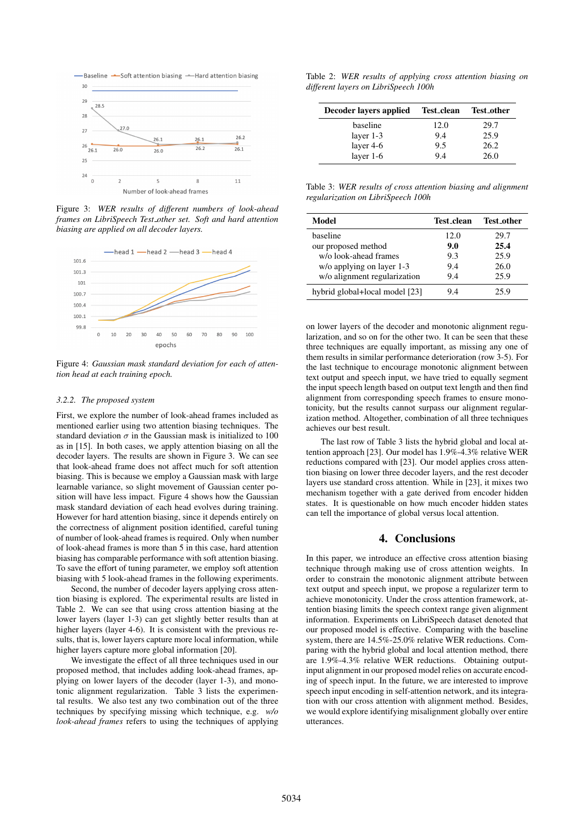

Figure 3: *WER results of different numbers of look-ahead frames on LibriSpeech Test other set. Soft and hard attention biasing are applied on all decoder layers.*



Figure 4: *Gaussian mask standard deviation for each of attention head at each training epoch.*

#### *3.2.2. The proposed system*

First, we explore the number of look-ahead frames included as mentioned earlier using two attention biasing techniques. The standard deviation  $\sigma$  in the Gaussian mask is initialized to 100 as in [15]. In both cases, we apply attention biasing on all the decoder layers. The results are shown in Figure 3. We can see that look-ahead frame does not affect much for soft attention biasing. This is because we employ a Gaussian mask with large learnable variance, so slight movement of Gaussian center position will have less impact. Figure 4 shows how the Gaussian mask standard deviation of each head evolves during training. However for hard attention biasing, since it depends entirely on the correctness of alignment position identified, careful tuning of number of look-ahead frames is required. Only when number of look-ahead frames is more than 5 in this case, hard attention biasing has comparable performance with soft attention biasing. To save the effort of tuning parameter, we employ soft attention biasing with 5 look-ahead frames in the following experiments.

Second, the number of decoder layers applying cross attention biasing is explored. The experimental results are listed in Table 2. We can see that using cross attention biasing at the lower layers (layer 1-3) can get slightly better results than at higher layers (layer 4-6). It is consistent with the previous results, that is, lower layers capture more local information, while higher layers capture more global information [20].

We investigate the effect of all three techniques used in our proposed method, that includes adding look-ahead frames, applying on lower layers of the decoder (layer 1-3), and monotonic alignment regularization. Table 3 lists the experimental results. We also test any two combination out of the three techniques by specifying missing which technique, e.g. *w/o look-ahead frames* refers to using the techniques of applying

Table 2: *WER results of applying cross attention biasing on different layers on LibriSpeech 100h*

| Decoder layers applied | Test_clean | <b>Test_other</b> |
|------------------------|------------|-------------------|
| baseline               | 12.0       | 29.7              |
| layer $1-3$            | 9.4        | 25.9              |
| layer $4-6$            | 9.5        | 26.2              |
| layer $1-6$            | 9.4        | 26.0              |

Table 3: *WER results of cross attention biasing and alignment regularization on LibriSpeech 100h*

| Model                          | Test_clean | Test_other |
|--------------------------------|------------|------------|
| haseline                       | 12.0       | 29.7       |
| our proposed method            | 9.0        | 25.4       |
| w/o look-ahead frames          | 9.3        | 25.9       |
| w/o applying on layer 1-3      | 9.4        | 26.0       |
| w/o alignment regularization   | 9.4        | 25.9       |
| hybrid global+local model [23] | 94         | 25.9       |

on lower layers of the decoder and monotonic alignment regularization, and so on for the other two. It can be seen that these three techniques are equally important, as missing any one of them results in similar performance deterioration (row 3-5). For the last technique to encourage monotonic alignment between text output and speech input, we have tried to equally segment the input speech length based on output text length and then find alignment from corresponding speech frames to ensure monotonicity, but the results cannot surpass our alignment regularization method. Altogether, combination of all three techniques achieves our best result.

The last row of Table 3 lists the hybrid global and local attention approach [23]. Our model has 1.9%-4.3% relative WER reductions compared with [23]. Our model applies cross attention biasing on lower three decoder layers, and the rest decoder layers use standard cross attention. While in [23], it mixes two mechanism together with a gate derived from encoder hidden states. It is questionable on how much encoder hidden states can tell the importance of global versus local attention.

### 4. Conclusions

In this paper, we introduce an effective cross attention biasing technique through making use of cross attention weights. In order to constrain the monotonic alignment attribute between text output and speech input, we propose a regularizer term to achieve monotonicity. Under the cross attention framework, attention biasing limits the speech context range given alignment information. Experiments on LibriSpeech dataset denoted that our proposed model is effective. Comparing with the baseline system, there are 14.5%-25.0% relative WER reductions. Comparing with the hybrid global and local attention method, there are 1.9%-4.3% relative WER reductions. Obtaining outputinput alignment in our proposed model relies on accurate encoding of speech input. In the future, we are interested to improve speech input encoding in self-attention network, and its integration with our cross attention with alignment method. Besides, we would explore identifying misalignment globally over entire utterances.